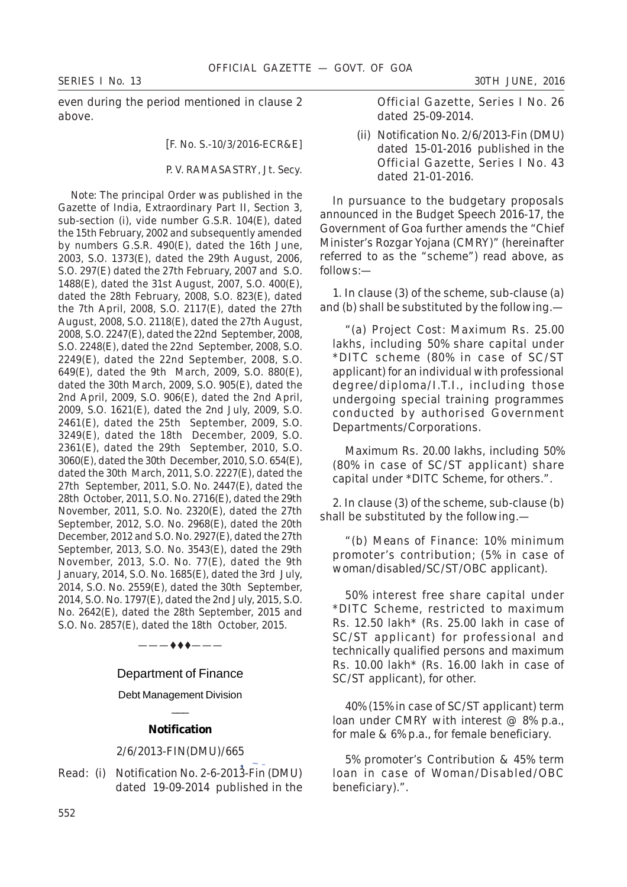even during the period mentioned in clause 2 above.

[F. No. S.-10/3/2016-ECR&E]

P. V. RAMASASTRY, Jt. Secy.

*Note:* The principal Order was published in the Gazette of India, Extraordinary Part II, Section 3, sub-section (i), vide number G.S.R. 104(E), dated the 15th February, 2002 and subsequently amended by numbers G.S.R. 490(E), dated the 16th June, 2003, S.O. 1373(E), dated the 29th August, 2006, S.O. 297(E) dated the 27th February, 2007 and S.O. 1488(E), dated the 31st August, 2007, S.O. 400(E), dated the 28th February, 2008, S.O. 823(E), dated the 7th April, 2008, S.O. 2117(E), dated the 27th August, 2008, S.O. 2118(E), dated the 27th August, 2008, S.O. 2247(E), dated the 22nd September, 2008, S.O. 2248(E), dated the 22nd September, 2008, S.O. 2249(E), dated the 22nd September, 2008, S.O. 649(E), dated the 9th March, 2009, S.O. 880(E), dated the 30th March, 2009, S.O. 905(E), dated the 2nd April, 2009, S.O. 906(E), dated the 2nd April, 2009, S.O. 1621(E), dated the 2nd July, 2009, S.O. 2461(E), dated the 25th September, 2009, S.O. 3249(E), dated the 18th December, 2009, S.O. 2361(E), dated the 29th September, 2010, S.O. 3060(E), dated the 30th December, 2010, S.O. 654(E), dated the 30th March, 2011, S.O. 2227(E), dated the 27th September, 2011, S.O. No. 2447(E), dated the 28th October, 2011, S.O. No. 2716(E), dated the 29th November, 2011, S.O. No. 2320(E), dated the 27th September, 2012, S.O. No. 2968(E), dated the 20th December, 2012 and S.O. No. 2927(E), dated the 27th September, 2013, S.O. No. 3543(E), dated the 29th November, 2013, S.O. No. 77(E), dated the 9th January, 2014, S.O. No. 1685(E), dated the 3rd July, 2014, S.O. No. 2559(E), dated the 30th September, 2014, S.O. No. 1797(E), dated the 2nd July, 2015, S.O. No. 2642(E), dated the 28th September, 2015 and S.O. No. 2857(E), dated the 18th October, 2015.

# Department of Finance

 $-$  4 4  $-$ 

Debt Management Division  $\overline{\phantom{a}}$ 

### **Notification**

#### 2/6/2013-FIN(DMU)/665

2/6/2013-FIN(DMU)/665<br>Read: (i) Notification No. 2-6-2013-Fin (DMU) dated 19-09-2014 published in the

Official Gazette, Series I No. 26 dated 25-09-2014.

(ii) Notification No. 2/6/2013-Fin (DMU) dated 15-01-2016 published in the Official Gazette, Series I No. 43 dated 21-01-2016.

In pursuance to the budgetary proposals announced in the Budget Speech 2016-17, the Government of Goa further amends the "Chief Minister's Rozgar Yojana (CMRY)" (hereinafter referred to as the "scheme") read above, as follows:—

1. In clause (*3*) of the scheme, sub-clause (*a*) and (*b*) shall be substituted by the following.—

"(*a*) *Project Cost*: Maximum Rs. 25.00 lakhs, including 50% share capital under \*DITC scheme (80% in case of SC/ST applicant) for an individual with professional degree/diploma/I.T.I., including those undergoing special training programmes conducted by authorised Government Departments/Corporations.

Maximum Rs. 20.00 lakhs, including 50% (80% in case of SC/ST applicant) share capital under \*DITC Scheme, for others.".

2. In clause (*3*) of the scheme, sub-clause (*b*) shall be substituted by the following.—

"(*b*) *Means of Finance*: 10% minimum promoter's contribution; (5% in case of woman/disabled/SC/ST/OBC applicant).

50% interest free share capital under \*DITC Scheme, restricted to maximum Rs. 12.50 lakh\* (Rs. 25.00 lakh in case of SC/ST applicant) for professional and technically qualified persons and maximum Rs.  $10.00$  lakh<sup>\*</sup> (Rs.  $16.00$  lakh in case of SC/ST applicant), for other.

40% (15% in case of SC/ST applicant) term loan under CMRY with interest @ 8% p.a., for male & 6% p.a., for female beneficiary.

5% promoter's Contribution & 45% term loan in case of Woman/Disabled/OBC beneficiary).".